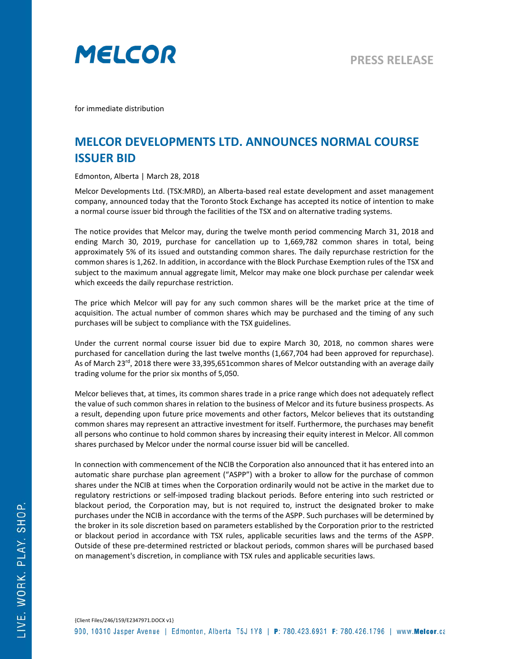

for immediate distribution

## **MELCOR DEVELOPMENTS LTD. ANNOUNCES NORMAL COURSE ISSUER BID**

Edmonton, Alberta | March 28, 2018

Melcor Developments Ltd. (TSX:MRD), an Alberta-based real estate development and asset management company, announced today that the Toronto Stock Exchange has accepted its notice of intention to make a normal course issuer bid through the facilities of the TSX and on alternative trading systems.

The notice provides that Melcor may, during the twelve month period commencing March 31, 2018 and ending March 30, 2019, purchase for cancellation up to 1,669,782 common shares in total, being approximately 5% of its issued and outstanding common shares. The daily repurchase restriction for the common shares is 1,262. In addition, in accordance with the Block Purchase Exemption rules of the TSX and subject to the maximum annual aggregate limit, Melcor may make one block purchase per calendar week which exceeds the daily repurchase restriction.

The price which Melcor will pay for any such common shares will be the market price at the time of acquisition. The actual number of common shares which may be purchased and the timing of any such purchases will be subject to compliance with the TSX guidelines.

Under the current normal course issuer bid due to expire March 30, 2018, no common shares were purchased for cancellation during the last twelve months (1,667,704 had been approved for repurchase). As of March 23<sup>rd</sup>, 2018 there were 33,395,651common shares of Melcor outstanding with an average daily trading volume for the prior six months of 5,050.

Melcor believes that, at times, its common shares trade in a price range which does not adequately reflect the value of such common shares in relation to the business of Melcor and its future business prospects. As a result, depending upon future price movements and other factors, Melcor believes that its outstanding common shares may represent an attractive investment for itself. Furthermore, the purchases may benefit all persons who continue to hold common shares by increasing their equity interest in Melcor. All common shares purchased by Melcor under the normal course issuer bid will be cancelled.

In connection with commencement of the NCIB the Corporation also announced that it has entered into an automatic share purchase plan agreement ("ASPP") with a broker to allow for the purchase of common shares under the NCIB at times when the Corporation ordinarily would not be active in the market due to regulatory restrictions or self-imposed trading blackout periods. Before entering into such restricted or blackout period, the Corporation may, but is not required to, instruct the designated broker to make purchases under the NCIB in accordance with the terms of the ASPP. Such purchases will be determined by the broker in its sole discretion based on parameters established by the Corporation prior to the restricted or blackout period in accordance with TSX rules, applicable securities laws and the terms of the ASPP. Outside of these pre-determined restricted or blackout periods, common shares will be purchased based on management's discretion, in compliance with TSX rules and applicable securities laws.